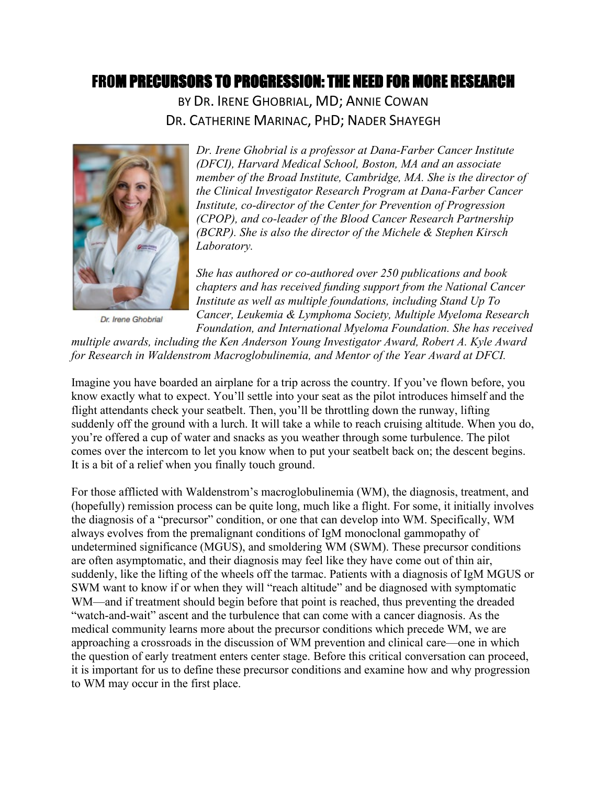# FROM PRECURSORS TO PROGRESSION: THE NEED FOR MORE RESEARCH

BY DR. IRENE GHOBRIAL, MD; ANNIE COWAN DR. CATHERINE MARINAC, PHD; NADER SHAYEGH



Dr. Irene Ghobrial

*Dr. Irene Ghobrial is a professor at Dana-Farber Cancer Institute (DFCI), Harvard Medical School, Boston, MA and an associate member of the Broad Institute, Cambridge, MA. She is the director of the Clinical Investigator Research Program at Dana-Farber Cancer Institute, co-director of the Center for Prevention of Progression (CPOP), and co-leader of the Blood Cancer Research Partnership (BCRP). She is also the director of the Michele & Stephen Kirsch Laboratory.*

*She has authored or co-authored over 250 publications and book chapters and has received funding support from the National Cancer Institute as well as multiple foundations, including Stand Up To Cancer, Leukemia & Lymphoma Society, Multiple Myeloma Research Foundation, and International Myeloma Foundation. She has received* 

*multiple awards, including the Ken Anderson Young Investigator Award, Robert A. Kyle Award for Research in Waldenstrom Macroglobulinemia, and Mentor of the Year Award at DFCI.*

Imagine you have boarded an airplane for a trip across the country. If you've flown before, you know exactly what to expect. You'll settle into your seat as the pilot introduces himself and the flight attendants check your seatbelt. Then, you'll be throttling down the runway, lifting suddenly off the ground with a lurch. It will take a while to reach cruising altitude. When you do, you're offered a cup of water and snacks as you weather through some turbulence. The pilot comes over the intercom to let you know when to put your seatbelt back on; the descent begins. It is a bit of a relief when you finally touch ground.

For those afflicted with Waldenstrom's macroglobulinemia (WM), the diagnosis, treatment, and (hopefully) remission process can be quite long, much like a flight. For some, it initially involves the diagnosis of a "precursor" condition, or one that can develop into WM. Specifically, WM always evolves from the premalignant conditions of IgM monoclonal gammopathy of undetermined significance (MGUS), and smoldering WM (SWM). These precursor conditions are often asymptomatic, and their diagnosis may feel like they have come out of thin air, suddenly, like the lifting of the wheels off the tarmac. Patients with a diagnosis of IgM MGUS or SWM want to know if or when they will "reach altitude" and be diagnosed with symptomatic WM—and if treatment should begin before that point is reached, thus preventing the dreaded "watch-and-wait" ascent and the turbulence that can come with a cancer diagnosis. As the medical community learns more about the precursor conditions which precede WM, we are approaching a crossroads in the discussion of WM prevention and clinical care—one in which the question of early treatment enters center stage. Before this critical conversation can proceed, it is important for us to define these precursor conditions and examine how and why progression to WM may occur in the first place.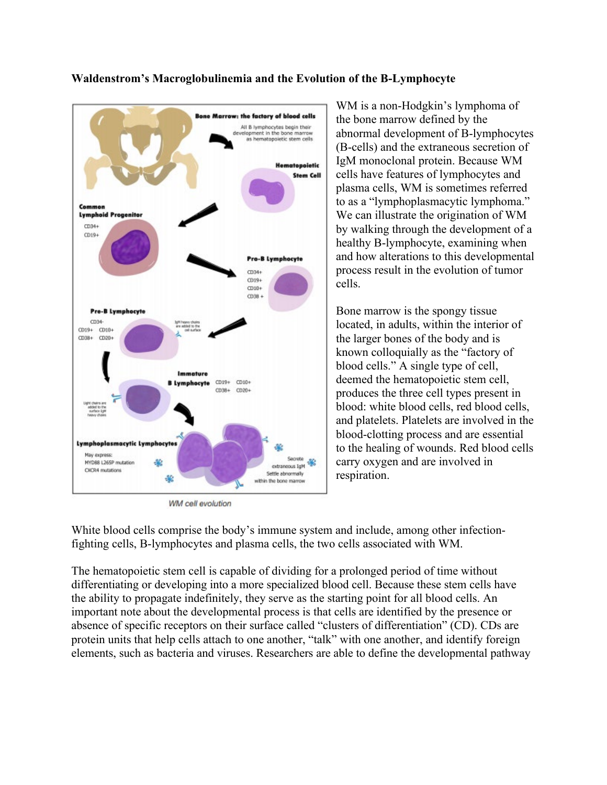

#### **Waldenstrom's Macroglobulinemia and the Evolution of the B-Lymphocyte**

WM cell evolution

WM is a non-Hodgkin's lymphoma of the bone marrow defined by the abnormal development of B-lymphocytes (B-cells) and the extraneous secretion of IgM monoclonal protein. Because WM cells have features of lymphocytes and plasma cells, WM is sometimes referred to as a "lymphoplasmacytic lymphoma." We can illustrate the origination of WM by walking through the development of a healthy B-lymphocyte, examining when and how alterations to this developmental process result in the evolution of tumor cells.

Bone marrow is the spongy tissue located, in adults, within the interior of the larger bones of the body and is known colloquially as the "factory of blood cells." A single type of cell, deemed the hematopoietic stem cell, produces the three cell types present in blood: white blood cells, red blood cells, and platelets. Platelets are involved in the blood-clotting process and are essential to the healing of wounds. Red blood cells carry oxygen and are involved in respiration.

White blood cells comprise the body's immune system and include, among other infectionfighting cells, B-lymphocytes and plasma cells, the two cells associated with WM.

The hematopoietic stem cell is capable of dividing for a prolonged period of time without differentiating or developing into a more specialized blood cell. Because these stem cells have the ability to propagate indefinitely, they serve as the starting point for all blood cells. An important note about the developmental process is that cells are identified by the presence or absence of specific receptors on their surface called "clusters of differentiation" (CD). CDs are protein units that help cells attach to one another, "talk" with one another, and identify foreign elements, such as bacteria and viruses. Researchers are able to define the developmental pathway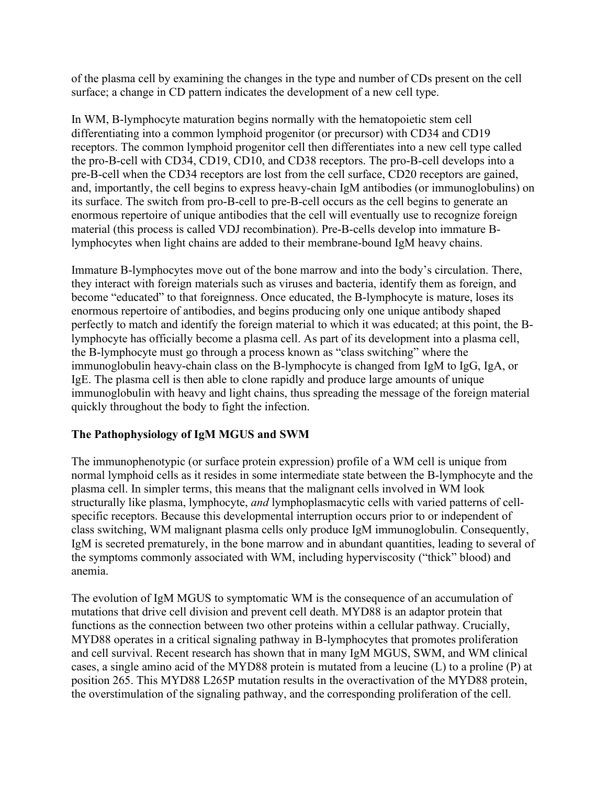of the plasma cell by examining the changes in the type and number of CDs present on the cell surface; a change in CD pattern indicates the development of a new cell type.

In WM, B-lymphocyte maturation begins normally with the hematopoietic stem cell differentiating into a common lymphoid progenitor (or precursor) with CD34 and CD19 receptors. The common lymphoid progenitor cell then differentiates into a new cell type called the pro-B-cell with CD34, CD19, CD10, and CD38 receptors. The pro-B-cell develops into a pre-B-cell when the CD34 receptors are lost from the cell surface, CD20 receptors are gained, and, importantly, the cell begins to express heavy-chain IgM antibodies (or immunoglobulins) on its surface. The switch from pro-B-cell to pre-B-cell occurs as the cell begins to generate an enormous repertoire of unique antibodies that the cell will eventually use to recognize foreign material (this process is called VDJ recombination). Pre-B-cells develop into immature Blymphocytes when light chains are added to their membrane-bound IgM heavy chains.

Immature B-lymphocytes move out of the bone marrow and into the body's circulation. There, they interact with foreign materials such as viruses and bacteria, identify them as foreign, and become "educated" to that foreignness. Once educated, the B-lymphocyte is mature, loses its enormous repertoire of antibodies, and begins producing only one unique antibody shaped perfectly to match and identify the foreign material to which it was educated; at this point, the Blymphocyte has officially become a plasma cell. As part of its development into a plasma cell, the B-lymphocyte must go through a process known as "class switching" where the immunoglobulin heavy-chain class on the B-lymphocyte is changed from IgM to IgG, IgA, or IgE. The plasma cell is then able to clone rapidly and produce large amounts of unique immunoglobulin with heavy and light chains, thus spreading the message of the foreign material quickly throughout the body to fight the infection.

## **The Pathophysiology of IgM MGUS and SWM**

The immunophenotypic (or surface protein expression) profile of a WM cell is unique from normal lymphoid cells as it resides in some intermediate state between the B-lymphocyte and the plasma cell. In simpler terms, this means that the malignant cells involved in WM look structurally like plasma, lymphocyte, *and* lymphoplasmacytic cells with varied patterns of cellspecific receptors. Because this developmental interruption occurs prior to or independent of class switching, WM malignant plasma cells only produce IgM immunoglobulin. Consequently, IgM is secreted prematurely, in the bone marrow and in abundant quantities, leading to several of the symptoms commonly associated with WM, including hyperviscosity ("thick" blood) and anemia.

The evolution of IgM MGUS to symptomatic WM is the consequence of an accumulation of mutations that drive cell division and prevent cell death. MYD88 is an adaptor protein that functions as the connection between two other proteins within a cellular pathway. Crucially, MYD88 operates in a critical signaling pathway in B-lymphocytes that promotes proliferation and cell survival. Recent research has shown that in many IgM MGUS, SWM, and WM clinical cases, a single amino acid of the MYD88 protein is mutated from a leucine (L) to a proline (P) at position 265. This MYD88 L265P mutation results in the overactivation of the MYD88 protein, the overstimulation of the signaling pathway, and the corresponding proliferation of the cell.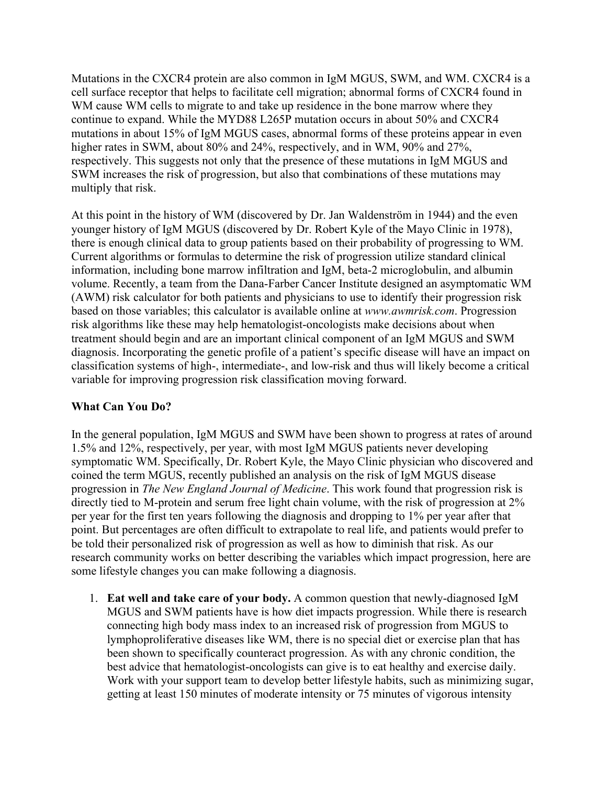Mutations in the CXCR4 protein are also common in IgM MGUS, SWM, and WM. CXCR4 is a cell surface receptor that helps to facilitate cell migration; abnormal forms of CXCR4 found in WM cause WM cells to migrate to and take up residence in the bone marrow where they continue to expand. While the MYD88 L265P mutation occurs in about 50% and CXCR4 mutations in about 15% of IgM MGUS cases, abnormal forms of these proteins appear in even higher rates in SWM, about 80% and 24%, respectively, and in WM, 90% and 27%, respectively. This suggests not only that the presence of these mutations in IgM MGUS and SWM increases the risk of progression, but also that combinations of these mutations may multiply that risk.

At this point in the history of WM (discovered by Dr. Jan Waldenström in 1944) and the even younger history of IgM MGUS (discovered by Dr. Robert Kyle of the Mayo Clinic in 1978), there is enough clinical data to group patients based on their probability of progressing to WM. Current algorithms or formulas to determine the risk of progression utilize standard clinical information, including bone marrow infiltration and IgM, beta-2 microglobulin, and albumin volume. Recently, a team from the Dana-Farber Cancer Institute designed an asymptomatic WM (AWM) risk calculator for both patients and physicians to use to identify their progression risk based on those variables; this calculator is available online at *[www.awmrisk.com](http://www.awmrisk.com/)*. Progression risk algorithms like these may help hematologist-oncologists make decisions about when treatment should begin and are an important clinical component of an IgM MGUS and SWM diagnosis. Incorporating the genetic profile of a patient's specific disease will have an impact on classification systems of high-, intermediate-, and low-risk and thus will likely become a critical variable for improving progression risk classification moving forward.

## **What Can You Do?**

In the general population, IgM MGUS and SWM have been shown to progress at rates of around 1.5% and 12%, respectively, per year, with most IgM MGUS patients never developing symptomatic WM. Specifically, Dr. Robert Kyle, the Mayo Clinic physician who discovered and coined the term MGUS, recently published an analysis on the risk of IgM MGUS disease progression in *The New England Journal of Medicine*. This work found that progression risk is directly tied to M-protein and serum free light chain volume, with the risk of progression at 2% per year for the first ten years following the diagnosis and dropping to 1% per year after that point. But percentages are often difficult to extrapolate to real life, and patients would prefer to be told their personalized risk of progression as well as how to diminish that risk. As our research community works on better describing the variables which impact progression, here are some lifestyle changes you can make following a diagnosis.

1. **Eat well and take care of your body.** A common question that newly-diagnosed IgM MGUS and SWM patients have is how diet impacts progression. While there is research connecting high body mass index to an increased risk of progression from MGUS to lymphoproliferative diseases like WM, there is no special diet or exercise plan that has been shown to specifically counteract progression. As with any chronic condition, the best advice that hematologist-oncologists can give is to eat healthy and exercise daily. Work with your support team to develop better lifestyle habits, such as minimizing sugar, getting at least 150 minutes of moderate intensity or 75 minutes of vigorous intensity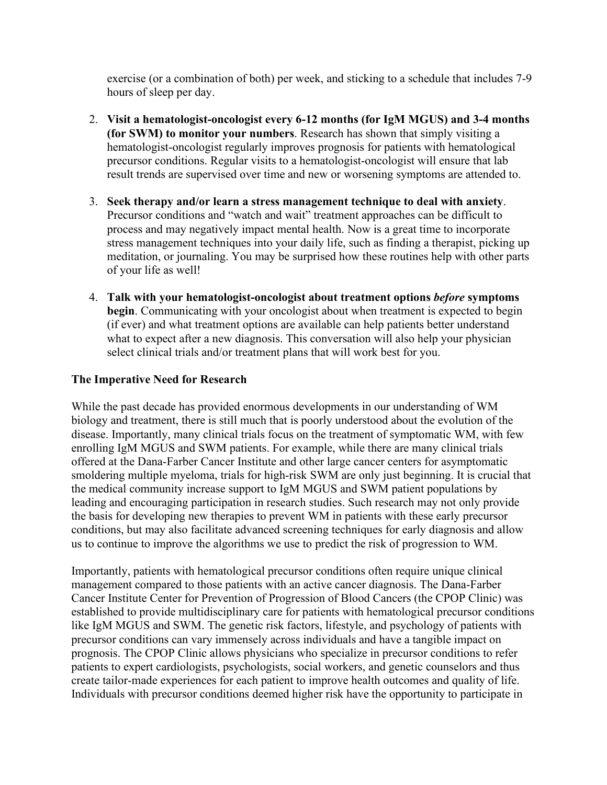exercise (or a combination of both) per week, and sticking to a schedule that includes 7-9 hours of sleep per day.

- 2. **Visit a hematologist-oncologist every 6-12 months (for IgM MGUS) and 3-4 months (for SWM) to monitor your numbers**. Research has shown that simply visiting a hematologist-oncologist regularly improves prognosis for patients with hematological precursor conditions. Regular visits to a hematologist-oncologist will ensure that lab result trends are supervised over time and new or worsening symptoms are attended to.
- 3. **Seek therapy and/or learn a stress management technique to deal with anxiety**. Precursor conditions and "watch and wait" treatment approaches can be difficult to process and may negatively impact mental health. Now is a great time to incorporate stress management techniques into your daily life, such as finding a therapist, picking up meditation, or journaling. You may be surprised how these routines help with other parts of your life as well!
- 4. **Talk with your hematologist-oncologist about treatment options** *before* **symptoms begin**. Communicating with your oncologist about when treatment is expected to begin (if ever) and what treatment options are available can help patients better understand what to expect after a new diagnosis. This conversation will also help your physician select clinical trials and/or treatment plans that will work best for you.

#### **The Imperative Need for Research**

While the past decade has provided enormous developments in our understanding of WM biology and treatment, there is still much that is poorly understood about the evolution of the disease. Importantly, many clinical trials focus on the treatment of symptomatic WM, with few enrolling IgM MGUS and SWM patients. For example, while there are many clinical trials offered at the Dana-Farber Cancer Institute and other large cancer centers for asymptomatic smoldering multiple myeloma, trials for high-risk SWM are only just beginning. It is crucial that the medical community increase support to IgM MGUS and SWM patient populations by leading and encouraging participation in research studies. Such research may not only provide the basis for developing new therapies to prevent WM in patients with these early precursor conditions, but may also facilitate advanced screening techniques for early diagnosis and allow us to continue to improve the algorithms we use to predict the risk of progression to WM.

Importantly, patients with hematological precursor conditions often require unique clinical management compared to those patients with an active cancer diagnosis. The Dana-Farber Cancer Institute Center for Prevention of Progression of Blood Cancers (the CPOP Clinic) was established to provide multidisciplinary care for patients with hematological precursor conditions like IgM MGUS and SWM. The genetic risk factors, lifestyle, and psychology of patients with precursor conditions can vary immensely across individuals and have a tangible impact on prognosis. The CPOP Clinic allows physicians who specialize in precursor conditions to refer patients to expert cardiologists, psychologists, social workers, and genetic counselors and thus create tailor-made experiences for each patient to improve health outcomes and quality of life. Individuals with precursor conditions deemed higher risk have the opportunity to participate in